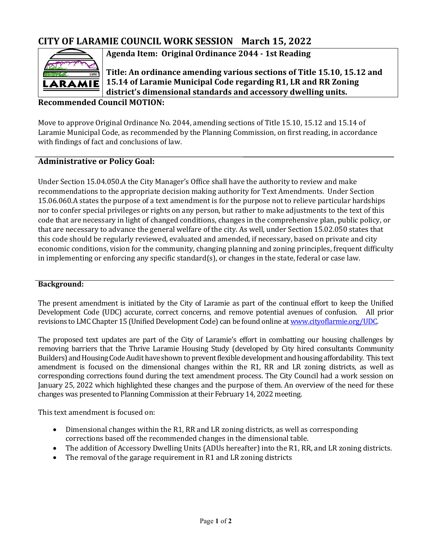# **CITY OF LARAMIE COUNCIL WORK SESSION March 15, 2022**



**Agenda Item: Original Ordinance 2044 - 1st Reading** 

**Title: An ordinance amending various sections of Title 15.10, 15.12 and 15.14 of Laramie Municipal Code regarding R1, LR and RR Zoning district's dimensional standards and accessory dwelling units.**

# **Recommended Council MOTION:**

Move to approve Original Ordinance No. 2044, amending sections of Title 15.10, 15.12 and 15.14 of Laramie Municipal Code, as recommended by the Planning Commission, on first reading, in accordance with findings of fact and conclusions of law.

## **Administrative or Policy Goal:**

Under Section 15.04.050.A the City Manager's Office shall have the authority to review and make recommendations to the appropriate decision making authority for Text Amendments. Under Section 15.06.060.A states the purpose of a text amendment is for the purpose not to relieve particular hardships nor to confer special privileges or rights on any person, but rather to make adjustments to the text of this code that are necessary in light of changed conditions, changes in the comprehensive plan, public policy, or that are necessary to advance the general welfare of the city. As well, under Section 15.02.050 states that this code should be regularly reviewed, evaluated and amended, if necessary, based on private and city economic conditions, vision for the community, changing planning and zoning principles, frequent difficulty in implementing or enforcing any specific standard(s), or changes in the state, federal or case law.

#### **Background:**

The present amendment is initiated by the City of Laramie as part of the continual effort to keep the Unified Development Code (UDC) accurate, correct concerns, and remove potential avenues of confusion. All prior revisions to LMC Chapter 15 (Unified Development Code) can be found online a[t www.cityoflarmie.org/UDC.](http://www.cityoflarmie.org/UDC) 

The proposed text updates are part of the City of Laramie's effort in combatting our housing challenges by removing barriers that the Thrive Laramie Housing Study (developed by City hired consultants Community Builders) and Housing Code Audit have shown to prevent flexible development and housing affordability. This text amendment is focused on the dimensional changes within the R1, RR and LR zoning districts, as well as corresponding corrections found during the text amendment process. The City Council had a work session on January 25, 2022 which highlighted these changes and the purpose of them. An overview of the need for these changes was presented to Planning Commission at their February 14, 2022 meeting.

This text amendment is focused on:

- Dimensional changes within the R1, RR and LR zoning districts, as well as corresponding corrections based off the recommended changes in the dimensional table.
- The addition of Accessory Dwelling Units (ADUs hereafter) into the R1, RR, and LR zoning districts.
- The removal of the garage requirement in R1 and LR zoning districts